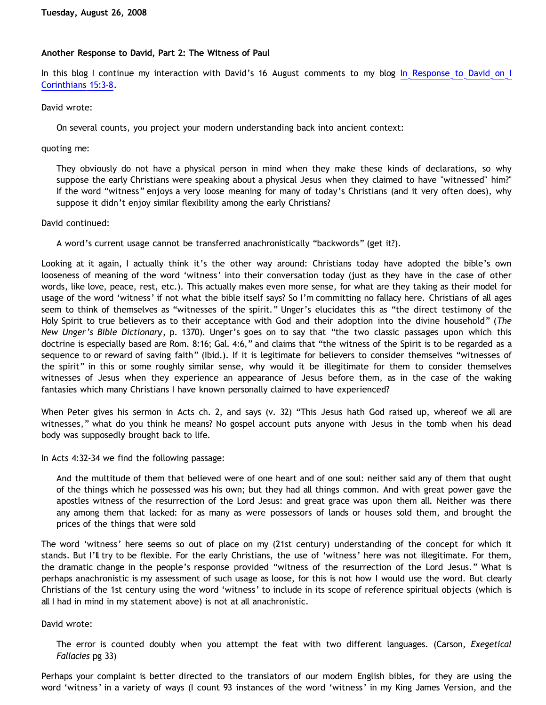# **Another Response to David, Part 2: The Witness of Paul**

In this blog I continue my interaction with David's 16 August comments to my blog [In Response to David on I](http://bahnsenburner.blogspot.com/2008/07/in-response-to-david-on-i-corinthians.html) [Corinthians 15:3-8.](http://bahnsenburner.blogspot.com/2008/07/in-response-to-david-on-i-corinthians.html)

## David wrote:

On several counts, you project your modern understanding back into ancient context:

quoting me:

They obviously do not have a physical person in mind when they make these kinds of declarations, so why suppose the early Christians were speaking about a physical Jesus when they claimed to have "witnessed" him?" If the word "witness" enjoys a very loose meaning for many of today's Christians (and it very often does), why suppose it didn't enjoy similar flexibility among the early Christians?

## David continued:

A word's current usage cannot be transferred anachronistically "backwords" (get it?).

Looking at it again, I actually think it's the other way around: Christians today have adopted the bible's own looseness of meaning of the word 'witness' into their conversation today (just as they have in the case of other words, like love, peace, rest, etc.). This actually makes even more sense, for what are they taking as their model for usage of the word 'witness' if not what the bible itself says? So I'm committing no fallacy here. Christians of all ages seem to think of themselves as "witnesses of the spirit." Unger's elucidates this as "the direct testimony of the Holy Spirit to true believers as to their acceptance with God and their adoption into the divine household" (*The New Unger's Bible Dictionary*, p. 1370). Unger's goes on to say that "the two classic passages upon which this doctrine is especially based are Rom. 8:16; Gal. 4:6," and claims that "the witness of the Spirit is to be regarded as a sequence to or reward of saving faith" (Ibid.). If it is legitimate for believers to consider themselves "witnesses of the spirit" in this or some roughly similar sense, why would it be illegitimate for them to consider themselves witnesses of Jesus when they experience an appearance of Jesus before them, as in the case of the waking fantasies which many Christians I have known personally claimed to have experienced?

When Peter gives his sermon in Acts ch. 2, and says (v. 32) "This Jesus hath God raised up, whereof we all are witnesses," what do you think he means? No gospel account puts anyone with Jesus in the tomb when his dead body was supposedly brought back to life.

In Acts 4:32-34 we find the following passage:

And the multitude of them that believed were of one heart and of one soul: neither said any of them that ought of the things which he possessed was his own; but they had all things common. And with great power gave the apostles witness of the resurrection of the Lord Jesus: and great grace was upon them all. Neither was there any among them that lacked: for as many as were possessors of lands or houses sold them, and brought the prices of the things that were sold

The word 'witness' here seems so out of place on my (21st century) understanding of the concept for which it stands. But I'll try to be flexible. For the early Christians, the use of 'witness' here was not illegitimate. For them, the dramatic change in the people's response provided "witness of the resurrection of the Lord Jesus." What is perhaps anachronistic is my assessment of such usage as loose, for this is not how I would use the word. But clearly Christians of the 1st century using the word 'witness' to include in its scope of reference spiritual objects (which is all I had in mind in my statement above) is not at all anachronistic.

## David wrote:

The error is counted doubly when you attempt the feat with two different languages. (Carson, *Exegetical Fallacies* pg 33)

Perhaps your complaint is better directed to the translators of our modern English bibles, for they are using the word 'witness' in a variety of ways (I count 93 instances of the word 'witness' in my King James Version, and the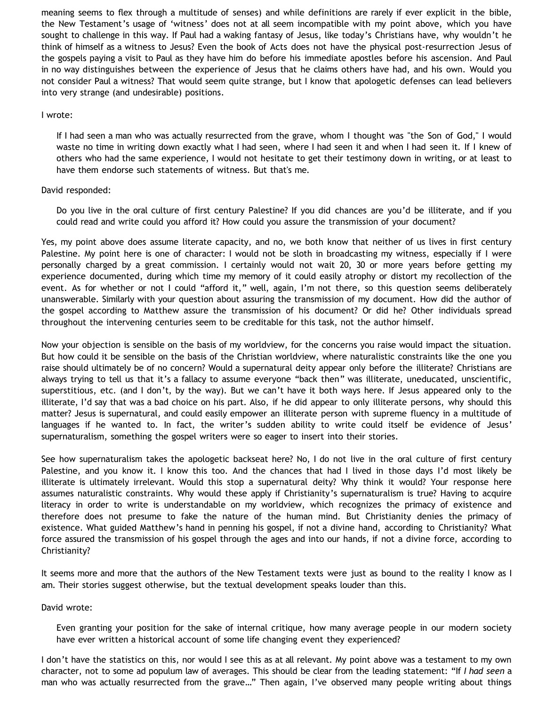meaning seems to flex through a multitude of senses) and while definitions are rarely if ever explicit in the bible, the New Testament's usage of 'witness' does not at all seem incompatible with my point above, which you have sought to challenge in this way. If Paul had a waking fantasy of Jesus, like today's Christians have, why wouldn't he think of himself as a witness to Jesus? Even the book of Acts does not have the physical post-resurrection Jesus of the gospels paying a visit to Paul as they have him do before his immediate apostles before his ascension. And Paul in no way distinguishes between the experience of Jesus that he claims others have had, and his own. Would you not consider Paul a witness? That would seem quite strange, but I know that apologetic defenses can lead believers into very strange (and undesirable) positions.

## I wrote:

If I had seen a man who was actually resurrected from the grave, whom I thought was "the Son of God," I would waste no time in writing down exactly what I had seen, where I had seen it and when I had seen it. If I knew of others who had the same experience, I would not hesitate to get their testimony down in writing, or at least to have them endorse such statements of witness. But that's me.

# David responded:

Do you live in the oral culture of first century Palestine? If you did chances are you'd be illiterate, and if you could read and write could you afford it? How could you assure the transmission of your document?

Yes, my point above does assume literate capacity, and no, we both know that neither of us lives in first century Palestine. My point here is one of character: I would not be sloth in broadcasting my witness, especially if I were personally charged by a great commission. I certainly would not wait 20, 30 or more years before getting my experience documented, during which time my memory of it could easily atrophy or distort my recollection of the event. As for whether or not I could "afford it," well, again, I'm not there, so this question seems deliberately unanswerable. Similarly with your question about assuring the transmission of my document. How did the author of the gospel according to Matthew assure the transmission of his document? Or did he? Other individuals spread throughout the intervening centuries seem to be creditable for this task, not the author himself.

Now your objection is sensible on the basis of my worldview, for the concerns you raise would impact the situation. But how could it be sensible on the basis of the Christian worldview, where naturalistic constraints like the one you raise should ultimately be of no concern? Would a supernatural deity appear only before the illiterate? Christians are always trying to tell us that it's a fallacy to assume everyone "back then" was illiterate, uneducated, unscientific, superstitious, etc. (and I don't, by the way). But we can't have it both ways here. If Jesus appeared only to the illiterate, I'd say that was a bad choice on his part. Also, if he did appear to only illiterate persons, why should this matter? Jesus is supernatural, and could easily empower an illiterate person with supreme fluency in a multitude of languages if he wanted to. In fact, the writer's sudden ability to write could itself be evidence of Jesus' supernaturalism, something the gospel writers were so eager to insert into their stories.

See how supernaturalism takes the apologetic backseat here? No, I do not live in the oral culture of first century Palestine, and you know it. I know this too. And the chances that had I lived in those days I'd most likely be illiterate is ultimately irrelevant. Would this stop a supernatural deity? Why think it would? Your response here assumes naturalistic constraints. Why would these apply if Christianity's supernaturalism is true? Having to acquire literacy in order to write is understandable on my worldview, which recognizes the primacy of existence and therefore does not presume to fake the nature of the human mind. But Christianity denies the primacy of existence. What guided Matthew's hand in penning his gospel, if not a divine hand, according to Christianity? What force assured the transmission of his gospel through the ages and into our hands, if not a divine force, according to Christianity?

It seems more and more that the authors of the New Testament texts were just as bound to the reality I know as I am. Their stories suggest otherwise, but the textual development speaks louder than this.

David wrote:

Even granting your position for the sake of internal critique, how many average people in our modern society have ever written a historical account of some life changing event they experienced?

I don't have the statistics on this, nor would I see this as at all relevant. My point above was a testament to my own character, not to some ad populum law of averages. This should be clear from the leading statement: "If *I had seen* a man who was actually resurrected from the grave…" Then again, I've observed many people writing about things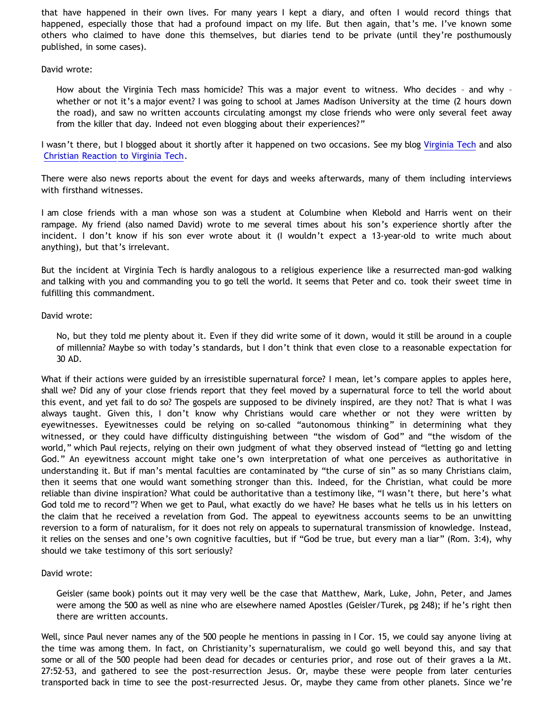that have happened in their own lives. For many years I kept a diary, and often I would record things that happened, especially those that had a profound impact on my life. But then again, that's me. I've known some others who claimed to have done this themselves, but diaries tend to be private (until they're posthumously published, in some cases).

David wrote:

How about the Virginia Tech mass homicide? This was a major event to witness. Who decides – and why – whether or not it's a major event? I was going to school at James Madison University at the time (2 hours down the road), and saw no written accounts circulating amongst my close friends who were only several feet away from the killer that day. Indeed not even blogging about their experiences?"

I wasn't there, but I blogged about it shortly after it happened on two occasions. See my blog [Virginia Tech](http://bahnsenburner.blogspot.com/2007/04/virginia-tech.html) and also [Christian Reaction to Virginia Tech.](http://bahnsenburner.blogspot.com/2007/04/christian-reaction-to-virginia-tech.html)

There were also news reports about the event for days and weeks afterwards, many of them including interviews with firsthand witnesses.

I am close friends with a man whose son was a student at Columbine when Klebold and Harris went on their rampage. My friend (also named David) wrote to me several times about his son's experience shortly after the incident. I don't know if his son ever wrote about it (I wouldn't expect a 13-year-old to write much about anything), but that's irrelevant.

But the incident at Virginia Tech is hardly analogous to a religious experience like a resurrected man-god walking and talking with you and commanding you to go tell the world. It seems that Peter and co. took their sweet time in fulfilling this commandment.

# David wrote:

No, but they told me plenty about it. Even if they did write some of it down, would it still be around in a couple of millennia? Maybe so with today's standards, but I don't think that even close to a reasonable expectation for 30 AD.

What if their actions were guided by an irresistible supernatural force? I mean, let's compare apples to apples here, shall we? Did any of your close friends report that they feel moved by a supernatural force to tell the world about this event, and yet fail to do so? The gospels are supposed to be divinely inspired, are they not? That is what I was always taught. Given this, I don't know why Christians would care whether or not they were written by eyewitnesses. Eyewitnesses could be relying on so-called "autonomous thinking" in determining what they witnessed, or they could have difficulty distinguishing between "the wisdom of God" and "the wisdom of the world," which Paul rejects, relying on their own judgment of what they observed instead of "letting go and letting God." An eyewitness account might take one's own interpretation of what one perceives as authoritative in understanding it. But if man's mental faculties are contaminated by "the curse of sin" as so many Christians claim, then it seems that one would want something stronger than this. Indeed, for the Christian, what could be more reliable than divine inspiration? What could be authoritative than a testimony like, "I wasn't there, but here's what God told me to record"? When we get to Paul, what exactly do we have? He bases what he tells us in his letters on the claim that he received a revelation from God. The appeal to eyewitness accounts seems to be an unwitting reversion to a form of naturalism, for it does not rely on appeals to supernatural transmission of knowledge. Instead, it relies on the senses and one's own cognitive faculties, but if "God be true, but every man a liar" (Rom. 3:4), why should we take testimony of this sort seriously?

## David wrote:

Geisler (same book) points out it may very well be the case that Matthew, Mark, Luke, John, Peter, and James were among the 500 as well as nine who are elsewhere named Apostles (Geisler/Turek, pg 248); if he's right then there are written accounts.

Well, since Paul never names any of the 500 people he mentions in passing in I Cor. 15, we could say anyone living at the time was among them. In fact, on Christianity's supernaturalism, we could go well beyond this, and say that some or all of the 500 people had been dead for decades or centuries prior, and rose out of their graves a la Mt. 27:52-53, and gathered to see the post-resurrection Jesus. Or, maybe these were people from later centuries transported back in time to see the post-resurrected Jesus. Or, maybe they came from other planets. Since we're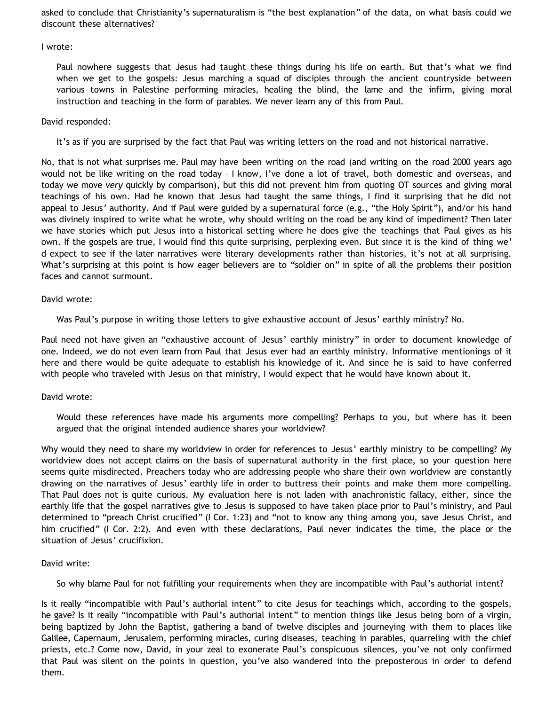asked to conclude that Christianity's supernaturalism is "the best explanation" of the data, on what basis could we discount these alternatives?

## I wrote:

Paul nowhere suggests that Jesus had taught these things during his life on earth. But that's what we find when we get to the gospels: Jesus marching a squad of disciples through the ancient countryside between various towns in Palestine performing miracles, healing the blind, the lame and the infirm, giving moral instruction and teaching in the form of parables. We never learn any of this from Paul.

## David responded:

It's as if you are surprised by the fact that Paul was writing letters on the road and not historical narrative.

No, that is not what surprises me. Paul may have been writing on the road (and writing on the road 2000 years ago would not be like writing on the road today – I know, I've done a lot of travel, both domestic and overseas, and today we move *very* quickly by comparison), but this did not prevent him from quoting OT sources and giving moral teachings of his own. Had he known that Jesus had taught the same things, I find it surprising that he did not appeal to Jesus' authority. And if Paul were guided by a supernatural force (e.g., "the Holy Spirit"), and/or his hand was divinely inspired to write what he wrote, why should writing on the road be any kind of impediment? Then later we have stories which put Jesus into a historical setting where he does give the teachings that Paul gives as his own. If the gospels are true, I would find this quite surprising, perplexing even. But since it is the kind of thing we' d expect to see if the later narratives were literary developments rather than histories, it's not at all surprising. What's surprising at this point is how eager believers are to "soldier on" in spite of all the problems their position faces and cannot surmount.

## David wrote:

Was Paul's purpose in writing those letters to give exhaustive account of Jesus' earthly ministry? No.

Paul need not have given an "exhaustive account of Jesus' earthly ministry" in order to document knowledge of one. Indeed, we do not even learn from Paul that Jesus ever had an earthly ministry. Informative mentionings of it here and there would be quite adequate to establish his knowledge of it. And since he is said to have conferred with people who traveled with Jesus on that ministry, I would expect that he would have known about it.

## David wrote:

Would these references have made his arguments more compelling? Perhaps to you, but where has it been argued that the original intended audience shares your worldview?

Why would they need to share my worldview in order for references to Jesus' earthly ministry to be compelling? My worldview does not accept claims on the basis of supernatural authority in the first place, so your question here seems quite misdirected. Preachers today who are addressing people who share their own worldview are constantly drawing on the narratives of Jesus' earthly life in order to buttress their points and make them more compelling. That Paul does not is quite curious. My evaluation here is not laden with anachronistic fallacy, either, since the earthly life that the gospel narratives give to Jesus is supposed to have taken place prior to Paul's ministry, and Paul determined to "preach Christ crucified" (I Cor. 1:23) and "not to know any thing among you, save Jesus Christ, and him crucified" (I Cor. 2:2). And even with these declarations, Paul never indicates the time, the place or the situation of Jesus' crucifixion.

## David write:

So why blame Paul for not fulfilling your requirements when they are incompatible with Paul's authorial intent?

Is it really "incompatible with Paul's authorial intent" to cite Jesus for teachings which, according to the gospels, he gave? Is it really "incompatible with Paul's authorial intent" to mention things like Jesus being born of a virgin, being baptized by John the Baptist, gathering a band of twelve disciples and journeying with them to places like Galilee, Capernaum, Jerusalem, performing miracles, curing diseases, teaching in parables, quarreling with the chief priests, etc.? Come now, David, in your zeal to exonerate Paul's conspicuous silences, you've not only confirmed that Paul was silent on the points in question, you've also wandered into the preposterous in order to defend them.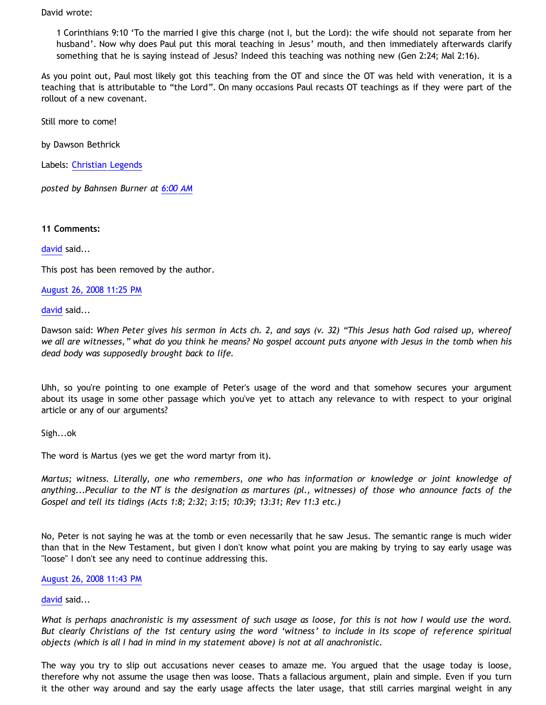David wrote:

1 Corinthians 9:10 'To the married I give this charge (not I, but the Lord): the wife should not separate from her husband'. Now why does Paul put this moral teaching in Jesus' mouth, and then immediately afterwards clarify something that he is saying instead of Jesus? Indeed this teaching was nothing new (Gen 2:24; Mal 2:16).

As you point out, Paul most likely got this teaching from the OT and since the OT was held with veneration, it is a teaching that is attributable to "the Lord". On many occasions Paul recasts OT teachings as if they were part of the rollout of a new covenant.

Still more to come!

by Dawson Bethrick

Labels: [Christian Legends](http://bahnsenburner.blogspot.com/search/label/Christian%20Legends)

*posted by Bahnsen Burner at [6:00 AM](http://bahnsenburner.blogspot.com/2008/08/another-response-to-david-part-2.html)*

**11 Comments:**

[david](http://www.blogger.com/profile/08071763988772047093) said...

This post has been removed by the author.

#### [August 26, 2008 11:25 PM](http://bahnsenburner.blogspot.com/2008/08/8987833730632877223)

[david](http://www.blogger.com/profile/08071763988772047093) said...

Dawson said: *When Peter gives his sermon in Acts ch. 2, and says (v. 32) "This Jesus hath God raised up, whereof we all are witnesses," what do you think he means? No gospel account puts anyone with Jesus in the tomb when his dead body was supposedly brought back to life.*

Uhh, so you're pointing to one example of Peter's usage of the word and that somehow secures your argument about its usage in some other passage which you've yet to attach any relevance to with respect to your original article or any of our arguments?

Sigh...ok

The word is Martus (yes we get the word martyr from it).

*Martus; witness. Literally, one who remembers, one who has information or knowledge or joint knowledge of anything...Peculiar to the NT is the designation as martures (pl., witnesses) of those who announce facts of the Gospel and tell its tidings (Acts 1:8; 2:32; 3:15; 10:39; 13:31; Rev 11:3 etc.)*

No, Peter is not saying he was at the tomb or even necessarily that he saw Jesus. The semantic range is much wider than that in the New Testament, but given I don't know what point you are making by trying to say early usage was "loose" I don't see any need to continue addressing this.

## [August 26, 2008 11:43 PM](http://bahnsenburner.blogspot.com/2008/08/1796527861993685383)

## [david](http://www.blogger.com/profile/08071763988772047093) said...

*What is perhaps anachronistic is my assessment of such usage as loose, for this is not how I would use the word. But clearly Christians of the 1st century using the word 'witness' to include in its scope of reference spiritual objects (which is all I had in mind in my statement above) is not at all anachronistic.*

The way you try to slip out accusations never ceases to amaze me. You argued that the usage today is loose, therefore why not assume the usage then was loose. Thats a fallacious argument, plain and simple. Even if you turn it the other way around and say the early usage affects the later usage, that still carries marginal weight in any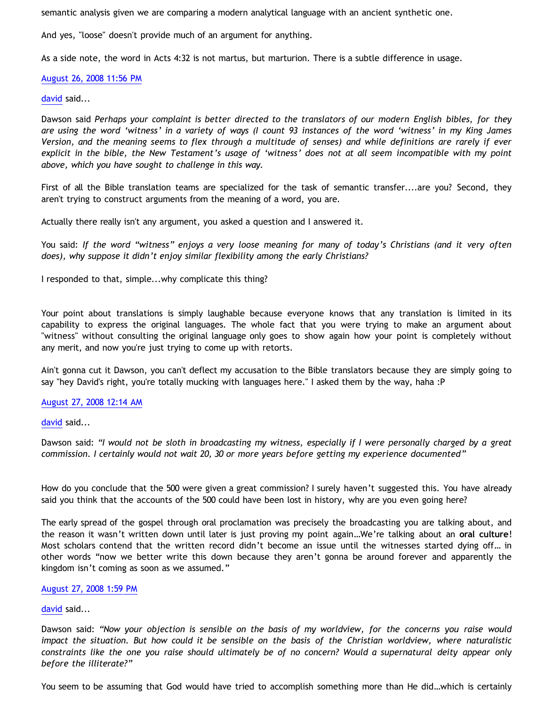semantic analysis given we are comparing a modern analytical language with an ancient synthetic one.

And yes, "loose" doesn't provide much of an argument for anything.

As a side note, the word in Acts 4:32 is not martus, but marturion. There is a subtle difference in usage.

# [August 26, 2008 11:56 PM](http://bahnsenburner.blogspot.com/2008/08/1484360715018405043)

## [david](http://www.blogger.com/profile/08071763988772047093) said...

Dawson said *Perhaps your complaint is better directed to the translators of our modern English bibles, for they are using the word 'witness' in a variety of ways (I count 93 instances of the word 'witness' in my King James Version, and the meaning seems to flex through a multitude of senses) and while definitions are rarely if ever explicit in the bible, the New Testament's usage of 'witness' does not at all seem incompatible with my point above, which you have sought to challenge in this way.*

First of all the Bible translation teams are specialized for the task of semantic transfer....are you? Second, they aren't trying to construct arguments from the meaning of a word, you are.

Actually there really isn't any argument, you asked a question and I answered it.

You said: *If the word "witness" enjoys a very loose meaning for many of today's Christians (and it very often does), why suppose it didn't enjoy similar flexibility among the early Christians?*

I responded to that, simple...why complicate this thing?

Your point about translations is simply laughable because everyone knows that any translation is limited in its capability to express the original languages. The whole fact that you were trying to make an argument about "witness" without consulting the original language only goes to show again how your point is completely without any merit, and now you're just trying to come up with retorts.

Ain't gonna cut it Dawson, you can't deflect my accusation to the Bible translators because they are simply going to say "hey David's right, you're totally mucking with languages here." I asked them by the way, haha :P

## [August 27, 2008 12:14 AM](http://bahnsenburner.blogspot.com/2008/08/6983269877900645269)

[david](http://www.blogger.com/profile/08071763988772047093) said...

Dawson said: *"I would not be sloth in broadcasting my witness, especially if I were personally charged by a great commission. I certainly would not wait 20, 30 or more years before getting my experience documented"*

How do you conclude that the 500 were given a great commission? I surely haven't suggested this. You have already said you think that the accounts of the 500 could have been lost in history, why are you even going here?

The early spread of the gospel through oral proclamation was precisely the broadcasting you are talking about, and the reason it wasn't written down until later is just proving my point again…We're talking about an **oral culture**! Most scholars contend that the written record didn't become an issue until the witnesses started dying off… in other words "now we better write this down because they aren't gonna be around forever and apparently the kingdom isn't coming as soon as we assumed."

#### [August 27, 2008 1:59 PM](http://bahnsenburner.blogspot.com/2008/08/5228566810663060983)

## [david](http://www.blogger.com/profile/08071763988772047093) said...

Dawson said: *"Now your objection is sensible on the basis of my worldview, for the concerns you raise would impact the situation. But how could it be sensible on the basis of the Christian worldview, where naturalistic constraints like the one you raise should ultimately be of no concern? Would a supernatural deity appear only before the illiterate?"*

You seem to be assuming that God would have tried to accomplish something more than He did…which is certainly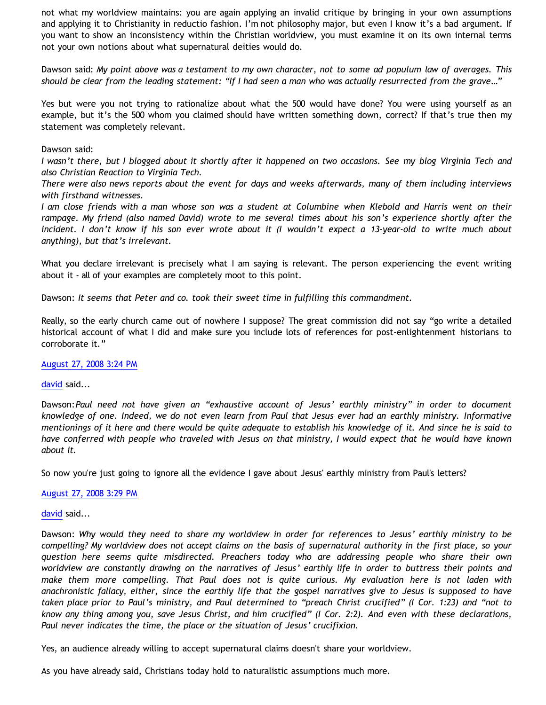not what my worldview maintains: you are again applying an invalid critique by bringing in your own assumptions and applying it to Christianity in reductio fashion. I'm not philosophy major, but even I know it's a bad argument. If you want to show an inconsistency within the Christian worldview, you must examine it on its own internal terms not your own notions about what supernatural deities would do.

Dawson said: *My point above was a testament to my own character, not to some ad populum law of averages. This should be clear from the leading statement: "If I had seen a man who was actually resurrected from the grave…"*

Yes but were you not trying to rationalize about what the 500 would have done? You were using yourself as an example, but it's the 500 whom you claimed should have written something down, correct? If that's true then my statement was completely relevant.

## Dawson said:

*I wasn't there, but I blogged about it shortly after it happened on two occasions. See my blog Virginia Tech and also Christian Reaction to Virginia Tech.*

*There were also news reports about the event for days and weeks afterwards, many of them including interviews with firsthand witnesses.*

*I am close friends with a man whose son was a student at Columbine when Klebold and Harris went on their rampage. My friend (also named David) wrote to me several times about his son's experience shortly after the incident. I don't know if his son ever wrote about it (I wouldn't expect a 13-year-old to write much about anything), but that's irrelevant.*

What you declare irrelevant is precisely what I am saying is relevant. The person experiencing the event writing about it - all of your examples are completely moot to this point.

Dawson: *It seems that Peter and co. took their sweet time in fulfilling this commandment.*

Really, so the early church came out of nowhere I suppose? The great commission did not say "go write a detailed historical account of what I did and make sure you include lots of references for post-enlightenment historians to corroborate it."

## [August 27, 2008 3:24 PM](http://bahnsenburner.blogspot.com/2008/08/8982561092017817137)

## [david](http://www.blogger.com/profile/08071763988772047093) said...

Dawson:*Paul need not have given an "exhaustive account of Jesus' earthly ministry" in order to document knowledge of one. Indeed, we do not even learn from Paul that Jesus ever had an earthly ministry. Informative mentionings of it here and there would be quite adequate to establish his knowledge of it. And since he is said to have conferred with people who traveled with Jesus on that ministry, I would expect that he would have known about it.*

So now you're just going to ignore all the evidence I gave about Jesus' earthly ministry from Paul's letters?

## [August 27, 2008 3:29 PM](http://bahnsenburner.blogspot.com/2008/08/8391425710373760064)

## [david](http://www.blogger.com/profile/08071763988772047093) said...

Dawson: *Why would they need to share my worldview in order for references to Jesus' earthly ministry to be compelling? My worldview does not accept claims on the basis of supernatural authority in the first place, so your question here seems quite misdirected. Preachers today who are addressing people who share their own worldview are constantly drawing on the narratives of Jesus' earthly life in order to buttress their points and make them more compelling. That Paul does not is quite curious. My evaluation here is not laden with anachronistic fallacy, either, since the earthly life that the gospel narratives give to Jesus is supposed to have taken place prior to Paul's ministry, and Paul determined to "preach Christ crucified" (I Cor. 1:23) and "not to know any thing among you, save Jesus Christ, and him crucified" (I Cor. 2:2). And even with these declarations, Paul never indicates the time, the place or the situation of Jesus' crucifixion.*

Yes, an audience already willing to accept supernatural claims doesn't share your worldview.

As you have already said, Christians today hold to naturalistic assumptions much more.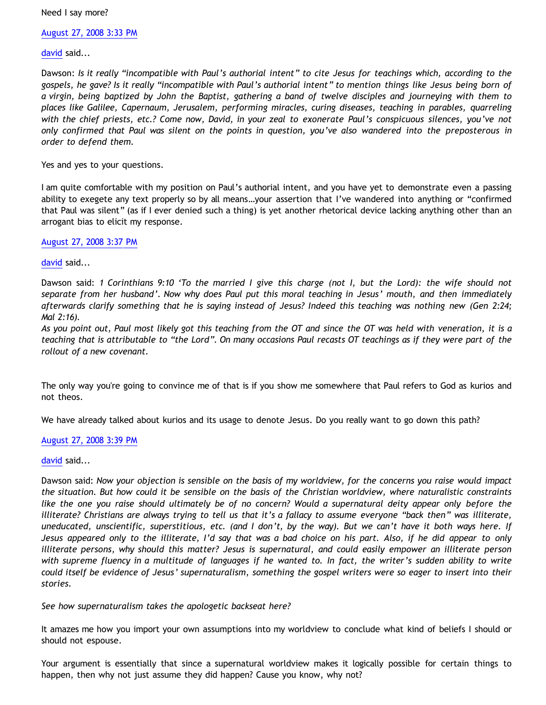Need I say more?

[August 27, 2008 3:33 PM](http://bahnsenburner.blogspot.com/2008/08/2278697885800059670)

[david](http://www.blogger.com/profile/08071763988772047093) said...

Dawson: *Is it really "incompatible with Paul's authorial intent" to cite Jesus for teachings which, according to the gospels, he gave? Is it really "incompatible with Paul's authorial intent" to mention things like Jesus being born of a virgin, being baptized by John the Baptist, gathering a band of twelve disciples and journeying with them to places like Galilee, Capernaum, Jerusalem, performing miracles, curing diseases, teaching in parables, quarreling with the chief priests, etc.? Come now, David, in your zeal to exonerate Paul's conspicuous silences, you've not only confirmed that Paul was silent on the points in question, you've also wandered into the preposterous in order to defend them.*

Yes and yes to your questions.

I am quite comfortable with my position on Paul's authorial intent, and you have yet to demonstrate even a passing ability to exegete any text properly so by all means…your assertion that I've wandered into anything or "confirmed that Paul was silent" (as if I ever denied such a thing) is yet another rhetorical device lacking anything other than an arrogant bias to elicit my response.

[August 27, 2008 3:37 PM](http://bahnsenburner.blogspot.com/2008/08/1129303206565842801)

[david](http://www.blogger.com/profile/08071763988772047093) said...

Dawson said: *1 Corinthians 9:10 'To the married I give this charge (not I, but the Lord): the wife should not separate from her husband'. Now why does Paul put this moral teaching in Jesus' mouth, and then immediately afterwards clarify something that he is saying instead of Jesus? Indeed this teaching was nothing new (Gen 2:24; Mal 2:16).*

*As you point out, Paul most likely got this teaching from the OT and since the OT was held with veneration, it is a teaching that is attributable to "the Lord". On many occasions Paul recasts OT teachings as if they were part of the rollout of a new covenant.*

The only way you're going to convince me of that is if you show me somewhere that Paul refers to God as kurios and not theos.

We have already talked about kurios and its usage to denote Jesus. Do you really want to go down this path?

## [August 27, 2008 3:39 PM](http://bahnsenburner.blogspot.com/2008/08/7435289612895092001)

## [david](http://www.blogger.com/profile/08071763988772047093) said...

Dawson said: *Now your objection is sensible on the basis of my worldview, for the concerns you raise would impact the situation. But how could it be sensible on the basis of the Christian worldview, where naturalistic constraints like the one you raise should ultimately be of no concern? Would a supernatural deity appear only before the illiterate? Christians are always trying to tell us that it's a fallacy to assume everyone "back then" was illiterate, uneducated, unscientific, superstitious, etc. (and I don't, by the way). But we can't have it both ways here. If Jesus appeared only to the illiterate, I'd say that was a bad choice on his part. Also, if he did appear to only illiterate persons, why should this matter? Jesus is supernatural, and could easily empower an illiterate person with supreme fluency in a multitude of languages if he wanted to. In fact, the writer's sudden ability to write could itself be evidence of Jesus' supernaturalism, something the gospel writers were so eager to insert into their stories.*

*See how supernaturalism takes the apologetic backseat here?*

It amazes me how you import your own assumptions into my worldview to conclude what kind of beliefs I should or should not espouse.

Your argument is essentially that since a supernatural worldview makes it logically possible for certain things to happen, then why not just assume they did happen? Cause you know, why not?